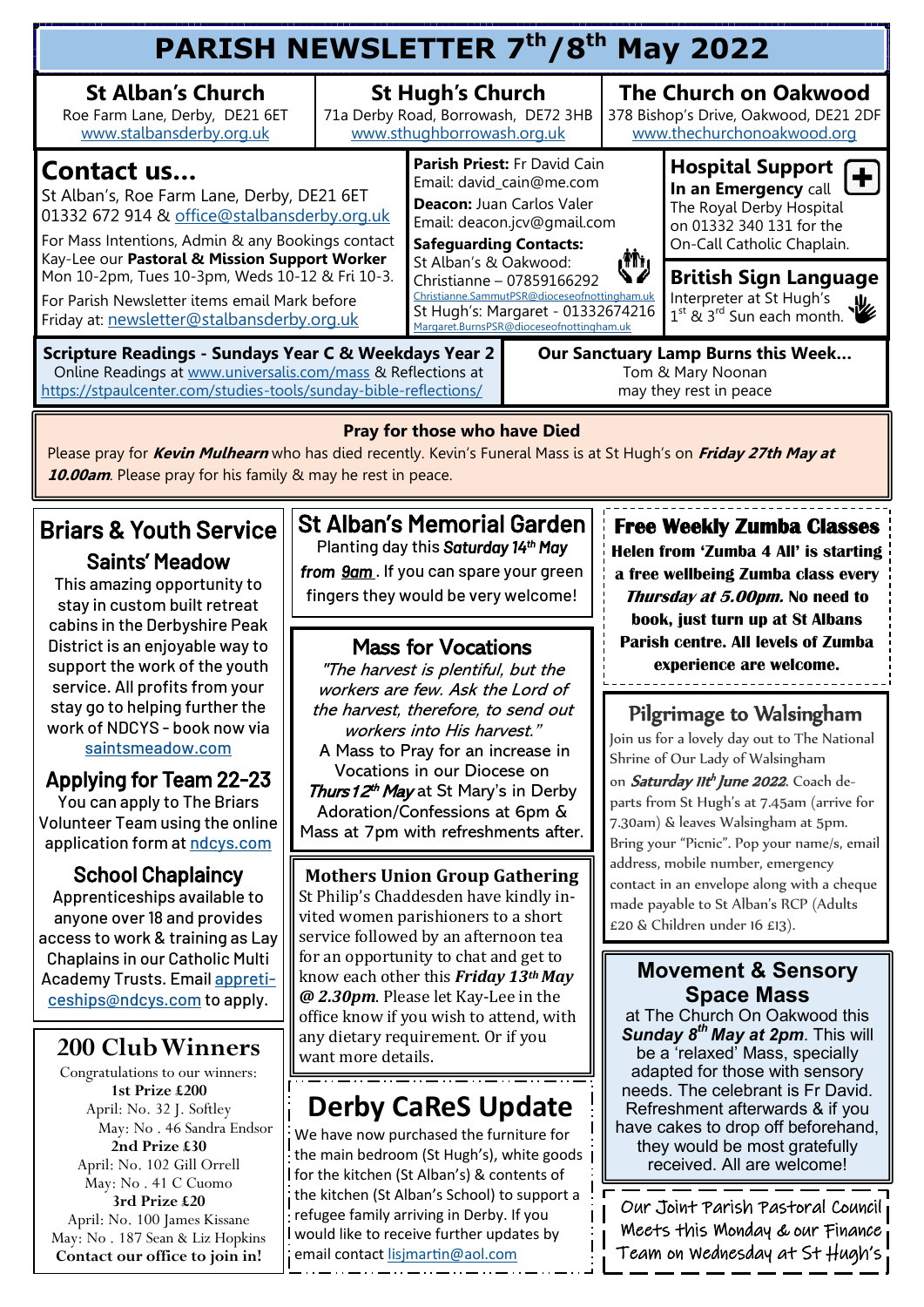| PARISH NEWSLETTER 7th/8th May 2022                                                                                                                                                                                                                                                        |  |                                                                                                                                                       |                                                                                                     |                                                                                                                                                                  |  |  |  |  |  |
|-------------------------------------------------------------------------------------------------------------------------------------------------------------------------------------------------------------------------------------------------------------------------------------------|--|-------------------------------------------------------------------------------------------------------------------------------------------------------|-----------------------------------------------------------------------------------------------------|------------------------------------------------------------------------------------------------------------------------------------------------------------------|--|--|--|--|--|
| <b>St Hugh's Church</b><br>71a Derby Road, Borrowash, DE72 3HB<br>www.sthughborrowash.org.uk                                                                                                                                                                                              |  |                                                                                                                                                       | <b>The Church on Oakwood</b><br>378 Bishop's Drive, Oakwood, DE21 2DF<br>www.thechurchonoakwood.org |                                                                                                                                                                  |  |  |  |  |  |
| <b>Contact us</b><br>St Alban's, Roe Farm Lane, Derby, DE21 6ET<br>01332 672 914 & office@stalbansderby.org.uk<br>For Mass Intentions, Admin & any Bookings contact                                                                                                                       |  | Parish Priest: Fr David Cain<br>Email: david_cain@me.com<br>Deacon: Juan Carlos Valer<br>Email: deacon.jcv@gmail.com<br><b>Safeguarding Contacts:</b> |                                                                                                     | <b>Hospital Support</b><br>$\div$<br>In an Emergency call<br>The Royal Derby Hospital<br>on 01332 340 131 for the<br>On-Call Catholic Chaplain.                  |  |  |  |  |  |
| Kay-Lee our Pastoral & Mission Support Worker<br>Mon 10-2pm, Tues 10-3pm, Weds 10-12 & Fri 10-3.<br>For Parish Newsletter items email Mark before<br>Friday at: newsletter@stalbansderby.org.uk                                                                                           |  |                                                                                                                                                       |                                                                                                     | <b>British Sign Language</b><br>Interpreter at St Hugh's<br>$1^{st}$ & $3^{rd}$ Sun each month.                                                                  |  |  |  |  |  |
| <b>Scripture Readings - Sundays Year C &amp; Weekdays Year 2</b><br>Our Sanctuary Lamp Burns this Week<br>Online Readings at www.universalis.com/mass & Reflections at<br>Tom & Mary Noonan<br>https://stpaulcenter.com/studies-tools/sunday-bible-reflections/<br>may they rest in peace |  |                                                                                                                                                       |                                                                                                     |                                                                                                                                                                  |  |  |  |  |  |
|                                                                                                                                                                                                                                                                                           |  |                                                                                                                                                       | St Alban's & Oakwood:                                                                               | رش<br>Christianne - 07859166292<br>Christianne.SammutPSR@dioceseofnottingham.uk<br>St Hugh's: Margaret - 01332674216<br>Margaret.BurnsPSR@dioceseofnottingham.uk |  |  |  |  |  |

#### **Pray for those who have Died**

Please pray for **Kevin Mulhearn** who has died recently. Kevin's Funeral Mass is at St Hugh's on **Friday 27th May at 10.00am**. Please pray for his family & may he rest in peace.

# Briars & Youth Service

Saints' Meadow This amazing opportunity to

stay in custom built retreat cabins in the Derbyshire Peak District is an enjoyable way to support the work of the youth service. All profits from your stay go to helping further the work of NDCYS - book now via [saintsmeadow.com](mailto:saintsmeadow.com)

### Applying for Team 22-23

You can apply to The Briars Volunteer Team using the online application form at [ndcys.com](mailto:ndcys.com)

#### School Chaplaincy

Apprenticeships available to anyone over 18 and provides access to work & training as Lay Chaplains in our Catholic Multi Academy Trusts. Email [appreti](mailto:appreticeships@ndcys.com)[ceships@ndcys.com](mailto:appreticeships@ndcys.com) to apply.

### **200 Club Winners**

Congratulations to our winners: **1st Prize £200** April: No. 32 J. Softley May: No . 46 Sandra Endsor **2nd Prize £30** April: No. 102 Gill Orrell May: No . 41 C Cuomo **3rd Prize £20** April: No. 100 James Kissane May: No . 187 Sean & Liz Hopkins **Contact our office to join in!**

#### St Alban's Memorial Garden Planting day this *Saturday 14th May*

*from 9am* . If you can spare your green fingers they would be very welcome!

#### Mass for Vocations

"The harvest is plentiful, but the workers are few. Ask the Lord of the harvest, therefore, to send out workers into His harvest." A Mass to Pray for an increase in Vocations in our Diocese on Thurs 12<sup>th</sup> May at St Mary's in Derby Adoration/Confessions at 6pm & Mass at 7pm with refreshments after.

#### **Mothers Union Group Gathering** St Philip's Chaddesden have kindly invited women parishioners to a short service followed by an afternoon tea for an opportunity to chat and get to know each other this *Friday 13th May @ 2.30pm*. Please let Kay-Lee in the office know if you wish to attend, with any dietary requirement. Or if you want more details.

## **Derby CaReS Update**

We have now purchased the furniture for the main bedroom (St Hugh's), white goods for the kitchen (St Alban's) & contents of the kitchen (St Alban's School) to support a refugee family arriving in Derby. If you would like to receive further updates by email contact [lisjmartin@aol.com](mailto:lisjmartin@aol.com)

#### **Free Weekly Zumba Classes**

**Helen from 'Zumba 4 All' is starting a free wellbeing Zumba class every Thursday at 5.00pm. No need to book, just turn up at St Albans Parish centre. All levels of Zumba experience are welcome.** -----------------------

### Pilgrimage to Walsingham

Join us for a lovely day out to The National Shrine of Our Lady of Walsingham on Saturday IIt<sup>h</sup> June 2022. Coach departs from St Hugh's at 7.45am (arrive for 7.30am) & leaves Walsingham at 5pm. Bring your "Picnic". Pop your name/s, email address, mobile number, emergency contact in an envelope along with a cheque made payable to St Alban's RCP (Adults £20 & Children under 16 £13).

#### **Movement & Sensory Space Mass**

at The Church On Oakwood this *Sunday 8th May at 2pm*. This will be a 'relaxed' Mass, specially adapted for those with sensory needs. The celebrant is Fr David. Refreshment afterwards & if you have cakes to drop off beforehand, they would be most gratefully received. All are welcome!

Our Joint Parish Pastoral Council Meets this Monday & our Finance Team on Wednesday at St Hugh's